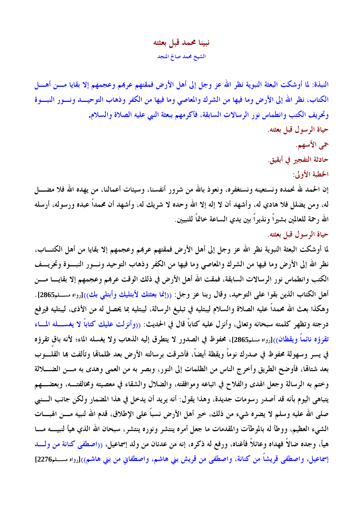## نبينا محمد قبل بعثته الشيخ محمد صالح المنجد

النبذة: لما أوشكت البعثة النبوية نظر الله عز وجل إلى أهل الأرض فمقتهم عربمم وعجمهم إلا بقايا مـــن أهــــل الكتاب، نظر الله إلى الأرض وما فيها من الشرك والمعاصي وما فيها من الكفر وذهاب التوحيــد ونـــور النبـــوة وتحريف الكتب وانطماس نور الرسالات السابقة، فأكرمهم ببعثة النبي عليه الصلاة والسلام. حياة الرسول قبل بعثته.

حى الأسهم.

حادثة التفجير في أبقيق.

الخطبة الأولى:

إن الحمد لله نحمده ونستعينه ونستغفره، ونعوذ بالله من شرور أنفسنا، وسيئات أعمالنا، من يهده الله فلا مضــــل له، ومن يضلل فلا هادي له، وأشهد أن لا إله إلا الله وحده لا شريك له، وأشهد أن محمداً عبده ورسوله، أرسله الله رحمة للعالمين بشيراً ونذيراً بين يدي الساعة خاتماً للنبيين.

حياة الرسول قبل بعثته.

لما أوشكت البعثة النبوية نظر الله عز وجل إلى أهل الأرض فمقتهم عربمم وعجمهم إلا بقايا من أهل الكتــــاب، نظر الله إلى الأرض وما فيها من الشرك والمعاصي وما فيها من الكفر وذهاب التوحيد ونسور النبسوة وتحريسف الكتب وانطماس نور الرسالات السابقة، فمقت الله أهل الأرض في ذلك الوقت عربمم وعجمهم إلا بقايــــا مــــن أهل الكتاب الذين بقوا على التوحيد، وقال ربنا عز وجل: ((إنما بعثتك لأبتليك وأبتلي بك))[رواه مسلم2865]. وهكذا بعث الله محمداً عليه الصلاة والسلام ليبتليه في تبليغ الرسالة، ليبتليه بما يحصل له من الأذي، ليبتليه فيرفع درجته وتظهر كلمته سبحانه وتعالى، وأنزل عليه كتاباً قال في الحديث: ((وأنزلت عليك كتاباً لا يغســـله المـــاء تقرؤه نائماً ويقظان<sub>))[رواه مسلم2865]، محفوظ في الصدور لا يتطرق إليه الذهاب ولا يغسله الماء؛ لأنه باق تقرؤه</sub> في يسر وسهولة محفوظ في صدرك نوماً ويقظة أيضاً، فأشرقت برسالته الأرض بعد ظلمالها وتألفت بما القلــــوب بعد شتاقما، فأوضح الطريق وأخرج الناس من الظلمات إلى النور، وبصر به من العمي وهدى به مـــن الضــــــلالة وختم به الرسالة وجعل الهدى والفلاح في اتباعه وموافقته، والضلال والشقاء في معصيته ومخالفتــه، وبعضـــهم يتباهى اليوم بأنه قد أصدر رسومات جديدة، وهذا يقول: أنه يريد أن يدخل في هذا المضمار ولكن جانب السنبي صلى الله عليه وسلم لا يضره شيء من ذلك، خير أهل الأرض نسباً على الإطلاق، قدم الله لنبيه مـــن الهبـــات الشيء العظيم، ووطأ له بالموطآت والمقدمات ما جعل أمره ينتشر ونوره ينتشر، سبحان الله الذي هيأ لنبيــــه مــــا هيأ، وجده ضالاً فهداه وعائلاً فأغناه، ورفع له ذكره، إنه من عدنان من ولد إسماعيل، ((اصطفى كنانة من ولسد إسماعيل، واصطفى قريشاً من كنانة، واصطفى من قريش بني هاشم، واصطفاني من بني هاشم))[رواه مســـلم2276]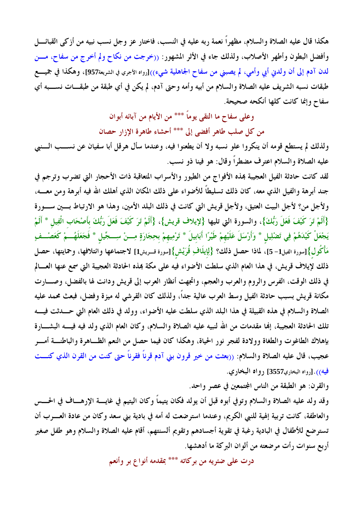هكذا قال عليه الصلاة والسلام، مظهراً نعمة ربه عليه في النسب، فاختار عز وجل نسب نبيه من أزكى القبائــــل وأفضل البطون وأطهر الأصلاب، ولذلك جاء في الأثر المشهور: ((خرجت من نكاح ولم أخرج من سفاح، مـــن لدن آدم إلى أن ولدني أبي وأمي، لم يصبني من سفاح الجاهلية شيء))[رواه الأجري في الشريعة957]، وهكذا في جميــــع طبقات نسبه الشريف عليه الصلاة والسلام من أبيه وأمه وحتى آدم، لم يكن في أي طبقة من طبقـــات نســــبه أي سفاح وإنما كانت كلها أنكحه صحيحة.

# وعلى سفاح ما التقى يوماً \*\*\* من الأيام من آبائه أبوان

من كل صلب طاهر أفضى إلى \*\*\* أحشاء طاهرة الإزار حصان

ولذلك لم يستطع قومه أن ينكروا علو نسبه ولا أن يطعنوا فيه، وعندما سأل هرقل أبا سفيان عن نســب الـــنبي عليه الصلاة والسلام اعترف مضطراً وقال: هو فينا ذو نسب.

لقد كانت حادثة الفيل العجيبة بمذه الأفواج من الطيور والأسراب المتعاقبة ذات الأحجار التي تضرب وترجم في جند أبرهة والفيل الذي معه، كان ذلك تسليطاً للأضواء على ذلك المكان الذي أهلك الله فيه أبرهة ومن معــــه، ولأجل من؟ لأجل البيت العتيق، ولأجل قريش التي كانت في ذلك البلد الأمين، وهذا هو الارتباط بسين ســـورة {أَلَمْ تَرَ كَيْفَ فَعَلَ رَبُّكَ}، والسورة التي تليها {لإيلاف قريش}، {أَلَمْ تَرَ كَيْفَ فَعَلَ رَبُّكَ بأَصْحَاب الْفِيل \* أَلَمْ يَجْعَلْ كَيْدَهُمْ فِي تَضْلِيل \* وَأَرْسَلَ عَلَيْهِمْ طَيْرًا أَبَابيلَ \* تَرْمِيهِمْ بحِجَارَةٍ مِـــنْ سِـــجِّيل \* فَجَعَلَهُـــمْ كَعَصْـــفِ مَأْكُول}[سورة الفيل1- 5]، لماذا حصل ذلك؟ {لِإيلَافِ قُرَيْش}[سورة قـــريش1] لاجتماعها وائتلافها، وحمايتها، حصل ذلك لإيلاف قريش، في هذا العام الذي سلطت الأضواء فيه على مكة بمذه الحادثة العجيبة التي سمع عنها العسالم في ذلك الوقت، الفرس والروم والعرب والعجم، واتجهت أنظار العرب إلى قريش ودانت لها بالفضل، وصـــارت مكانة قريش بسبب حادثة الفيل وسط العرب عالية جداً، ولذلك كان القرشي له ميزة وفضل، فبعث محمد عليه الصلاة والسلام في هذه القبيلة في هذا البلد الذي سلطت عليه الأضواء، وولد في ذلك العام التي حــدثت فيـــه تلك الحادثة العجيبة، إنها مقدمات من الله لنبيه عليه الصلاة والسلام، وكان العام الذي ولد فيه فيــــه البشــــارة بإهلاك الطاغوت والطغاة وولادة لفجر نور الحياة، وهكذا كان فيما حصل من النعم الظـاهرة والباطنـــة أمـــر عجيب، قال عليه الصلاة والسلام: ((بعثت من خير قرون بني آدم قرناً فقرناً حتى كنت من القرن الذي كنـــت فيه<sub>))</sub>.[رواه البخاري3557] رواه البخاري.

والقرن: هو الطبقة من الناس المجتمعين في عصر واحد.

وقد ولد عليه الصلاة والسلام وتوفي أبوه قبل أن يولد فكان يتيماً وكان اليتيم في غايسة الإرهـــاف في الحـــس والعاطفة، كانت تربية إلهية للنبي الكريم، وعندما استرضعت له أمه في بادية بني سعد وكان من عادة العسرب أن تسترضع للأطفال في البادية رغبة في تقوية أجسادهم وتقويم ألسنتهم، أقام عليه الصلاة والسلام وهو طفل صغير أربع سنوات رأت مرضعته من ألوان البركة ما أدهشها.

درت على ضئريه من بركاته \*\*\* بمقدمه أنواع بر وأنعم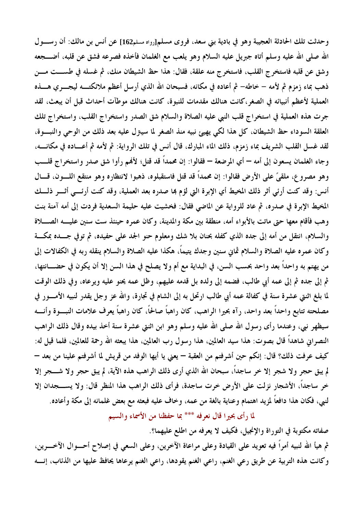وحدثت تلك الحادثة العجيبة وهو في بادية بني سعد، فروى مسلم[رواه مسلم216] عن أنس بن مالك: أن رسـول الله صلى الله عليه وسلم أتاه جبريل عليه السلام وهو يلعب مع الغلمان فأخذه فصرعه فشق عن قلبه، أضــــجعه وشق عن قلبه فاستخرج القلب، فاستخرج منه علقة، فقال: هذا حظ الشيطان منك، ثم غسله في طســـت مـــن ذهب بماء زمزم ثم لأمه – خاطه– ثم أعاده في مكانه، فسبحان الله الذي أرسل أعظم ملائكتـــه ليجــــري هـــــذه العملية لأعظم أنبيائه في الصغر،كانت هنالك مقدمات للنبوة، كانت هنالك موطآت أحداث قبل أن يبعث، لقد جرت هذه العملية في استخراج قلب النبي عليه الصلاة والسلام شق الصدر واستخراج القلب، واستخراج تلك العلقة السوداء حظ الشيطان، كل هذا لكي يهيئ نبيه منذ الصغر لما سيتزل عليه بعد ذلك من الوحي والنبسوة، لقد غسل القلب الشريف بماء زمزم، ذلك الماء المبارك، قال أنس في تلك الرواية: ثم لأمه ثم أعـــاده في مكانــــه، وجاء الغلمان يسعون إلى أمه — أي المرضعة — فقالوا: إن محمداً قد قتل؛ لأفمم رأوا شق صدر واستخراج قلـــب وهو مصروع، ملقىً على الأرض فقالوا: إن محمداً قد قتل فاستقبلوه، ذهبوا لانتظاره وهو منتقع اللـون، قــال أنس: وقد كنت أرمًى أثر ذلك المخيط أي الإبرة التي لؤم بما صدره بعد العملية، وقد كنت أرئـــي أثـــر ذلـــك المخيط الإبرة في صدره، ثم عاد للرواية عن الماضي فقال: فخشيت عليه حليمة السعدية فردت إلى أمه آمنة بنت وهب فأقام معها حتى ماتت بالأبواء أمه، منطقة بين مكة والمدينة، وكان عمره حينئذ ست سنين عليـــه الصــــلاة والسلام، انتقلَّ من أمه إلى جده الذي كفله بحنان بلا شكَّ ومعلوم حنو الجد على حفيده، ثم توفي جسده بمكسة وكان عمره عليه الصلاة والسلام ثماني سنين وجدك يتيماً، هكذا عليه الصلاة والسلام ينقله ربه في الكفالات إلى من يهتم به واحداً بعد واحد بحسب السن، في البداية مع أم ولا يصلح في هذا السن إلا أن يكون في حضــــانتها، ثم إلى جده ثم إلى عمه أبي طالب، فضمه إلى ولده بل قدمه عليهم، وظل عمه يحنو عليه ويرعاه، وفي ذلك الوقت لما بلغ اثنتي عشرة سنة في كفالة عمه أبي طالب ارتحل به إلى الشام في تجارة، والله عز وجل يقدر لنبيه الأمـــور في مصلحته تتابع واحداً بعد واحد، رآه بحيرا الراهب، كان راهباً صالحاً، كان راهباً يعرف علامات النبـــوة وأنــــه سيظهر نبي، وعندما رأى رسول الله صلى الله عليه وسلم وهو ابن اثنتي عشرة سنة أخذ بيده وقال ذلك الراهب النصراني شاهداً قال بصوت: هذا سيد العالمين، هذا رسول رب العالمين، هذا يبعثه الله رحمة للعالمين، فلما قيل له: كيف عرفت ذلك؟ قال: إنكم حين أشرفتم من العقبة — يعني يا أيها الوفد من قريش لما أشرفتم علينا من بعد — لم يبق حجر ولا شجر إلا خر ساجداً، سبحان الله الذي أرى ذلك الراهب هذه الآية، لم يبق حجر ولا شــــجر إلا خر ساجداً، الأشجار نزلت على الأرض خرت ساجدة، فرأى ذلك الراهب هذا المنظر قال: ولا يســـــجدان إلا لنبي، فكان هذا دافعاً لمزيد اهتمام وعناية بالغة من عمه، وخاف عليه فبعثه مع بعض غلمانه إلى مكة وأعاده.

لما رأى بحيرا قال نعرفه \*\*\* بما حفظنا من الأسماء والسيم

صفاته مكتوبة في التوراة والإنجيل، فكيف لا يعرفه من اطلع عليهما؟. ثم هيأ الله لنبيه أمراً فيه تعويد على القيادة وعلى مراعاة الآخرين، وعلى السعى في إصلاح أحـــوال الآخــــرين، وكانت هذه التربية عن طريق رعى الغنم، راعي الغنم يقودها، راعي الغنم يرعاها يحافظ عليها من الذئاب، إنسه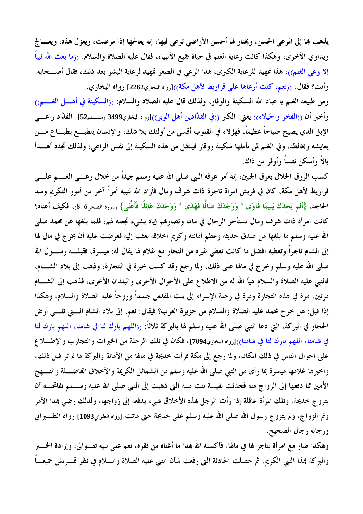يذهب بما إلى المرعى الحسن، ويختار لها أحسن الأراضي ترعى فيها، إنه يعالجها إذا مرضت، ويعزل هذه، ويعـــالج ويداوي الأخرى، وهكذا كانت رعاية الغنم في حياة جميع الأنبياء، فقال عليه الصلاة والسلام: ((ما بعث الله نبياً إلا رعي الغنم))، هذا تمهيد للرعاية الكبرى، هذا الرعي في الصغر تمهيد لرعاية البشر بعد ذلك، فقال أصـــحابه: وأنت؟ فقال: ((نعم، كنت أرعاها على قراريط لأهل مكة))[رواه البخاري2262] رواه البخاري.

ومن طبيعة الغنم يا عباد الله السكينة والوقار، ولذلك قال عليه الصلاة والسلام: ((السكينة في أهــــل الغــــنم)) وأخبر أن ((الفخر والخيلاء)) يعني: الكبر ((في الفدَّادين أهل الوبر))[رواه البخاري3499 ومســـلم52]. الفدَّاد راعــــي الإبل الذي يصيح صياحاً عظيماً، فهؤلاء في القلوب أقسى من أولئك بلا شك، والإنسان يتطبـــع بطبــــا ع مــــن يعايشه ويخالطه، وفي الغنم لمن تأملها سكينة ووقار فينتقل من هذه السكينة إلى نفس الراعي؛ ولذلك تجده أهـــدأ بالاً وأسكن نفساً وأوقر من ذاك.

كسب الرزق الحلال بعرق الجبين، إنه أمر عرفه النبي صلى الله عليه وسلم جيداً من خلال رعـــي الغـــنم علــــي قراريط لأهل مكة، كان في قريش امرأة تاجرة ذات شرف ومال فأراد الله لنبيه أمراً آخرٍ من أمور التكريم وسد الحاجة، {أَلَمْ يَجدْكَ يَتِيمًا فَآوَى \* وَوَجَدَكَ ضَالًّا فَهَدَى \* وَوَجَدَكَ عَائِلًا فَأَغْنَى} (سورة الضحى6-8)، فكيف أغناه؟ كانت امرأة ذات شرف ومال تستأجر الرجال في مالها وتضاربهم إياه بشيء تجعله لهم، فلما بلغها عن محمد صلى الله عليه وسلم ما بلغها من صدق حديثه وعظم أمانته وكريم أخلاقه بعثت إليه فعرضت عليه أن يخرج في مال لها إلى الشام تاجراً وتعطيه أفضل ما كانت تعطي غيره من التجار مع غلام لها يقال له: ميسرة، فقبلــــه رســــول الله صلى الله عليه وسلم وخرج في مالها على ذلك، ولما رجع وقد كسب خبرة في التجارة، وذهب إلى بلاد الشــــام، فالنبي عليه الصلاة والسلام هيأ الله له من الاطلاع على الأحوال الأخرى والبلدان الأخرى، فذهب إلى الشـــام مرتين، مرة في هذه التجارة ومرة في رحلة الإسراء إلى بيت المقدس جسداً وروحاً عليه الصلاة والسلام، وهكذا إذا قيل: هل خرج محمد عليه الصلاة والسلام من جزيرة العرب؟ فيقال: نعم، إلى بلاد الشام الـــتي تلـــي أرض الحجاز في البركة، التي دعا النبي صلى الله عليه وسلم لها بالبركة ثلاثاً: ((اللهم بارك لنا في شامنا، اللهم بارك لنا في شامنا، اللهم بارك لنا في شامنا))[رواه البخاري7094]، فكان في تلك الرحلة من الخبرات والتجارب والإطــــلاع على أحوال الناس في ذلك المكان، ولما رجع إلى مكة فرأت خديجة في مالها من الأمانة والبركة ما لم تر قبل ذلك، وأخبرها غلامها ميسرة بما رأى من النبي صلى الله عليه وسلم من الشمائل الكريمة والأخلاق الفاضـــلة والنـــهج الأمين مما دفعها إلى الزواج منه فحدثت نفيسة بنت منبه التي ذهبت إلى النبي صلى الله عليه وســـلم تفاتحـــه أن يتزوج خديجة، وتلك المرأة عاقلة إذا رأت الرجل بمذه الأخلاق شيء يدفعه إلى زواجها، ولذلك رضي بمذا الأمر وتم الزواج، ولم يتزوج رسول الله صلى الله عليه وسلم على خديجة حتى ماتت.[رواه الطبران1093] رواه الطـــــــبراني ورجاله رجال الصحيح.

وهكذا صار مع امرأة يتاجر لها في مالها، فأكسبه الله بمذا ما أغناه من فقره، نعم على نبيه تتــوالى، وإرادة الخــير والبركة بمذا النبي الكريم، ثم حصلت الحادثة التي رفعت شأن النبي عليه الصلاة والسلام في نظر قــــريش جميعــــاً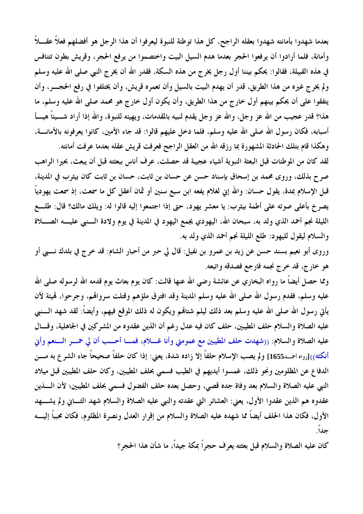بعدما شهدوا بأمانته شهدوا بعقله الراجح، كل هذا توطئة للنبوة ليعرفوا أن هذا الرجل هو أفضلهم فعلاً عقـــلاً وأمانة، فلما أرادوا أن يرفعوا الحجر بعدما هدم السيل البيت واختصموا من يرفع الحجر، وقريش بطون تتنافس في هذه القبيلة، فقالوا: يحكم بيننا أول رجل يخرج من هذه السكة، فقدر الله أن يخرج النبي صلى الله عليه وسلم ولم يخرج غيره من هذا الطريق، قدر أن يهدم البيت بالسيل وأن تعمره قريش، وأن يختلفوا في رفع الحجــــر، وأن يتفقوا على أن يحكم بينهم أول خارج من هذا الطريق، وأن يكون أول خارج هو محمد صلى الله عليه وسلم، ما هذا؟ قدر عجيب من الله عز وجل، والله عز وجل يقدم لنبيه بالمقدمات، ويهيئه للنبوة، والله إذا أراد شـــيئاً هيــــأ أسبابه، فكان رسول الله صلى الله عليه وسلم، فلما دخل عليهم قالوا: قد جاء الأمين، كانوا يعرفونه بالأمانــــة، وهكذا قام بتلك الحادثة المشهورة بما رزقه الله من العقل الراجح فعرفت قريش عقله بعدما عرفت أمانته.

لقد كان من الموطنات قبل البعثة النبوية أشياء عجيبة قد حصلت، عرف أناس ببعثته قبل أن يبعث، بحيرا الراهب صرح بذلك، وروى محمد بن إسحاق بإسناد حسن عن حسان بن ثابت، حسان بن ثابت كان بيثرب في المدينة، قبل الإسلام بمدة، يقول حسان: والله إني لغلام يفعه ابن سبع سنين أو ثمان أعقل كل ما سمعت، إذ سمعت يهودياً يصرخ بأعلى صوته على أطمة بيثرب: يا معشر يهود، حتى إذا اجتمعوا إليه قالوا له: ويلك مالك؟ قال: طلــع الليلة نجم أحمد الذي ولد به، سبحان الله، اليهودي يجمع اليهود في المدينة في يوم ولادة الـــنبي عليــــه الصــــلاة والسلام ليقول لليهود: طلع الليلة نجم أحمد الذي ولد به.

وروى أبو نعيم بسند حسن عن زيد بن عمرو بن نفيل: قال لي حبر من أحبار الشام: قد خرج في بلدك نـــبي أو هو خارج، قد خرج نجمه فارجع فصدقه واتبعه.

ومما حصل أيضاً ما رواه البخاري عن عائشة رضي الله عنها قالت: كان يوم بعاث يوم قدمه الله لرسوله صلى الله عليه وسلم، فقدم رسول الله صلى الله عليه وسلم المدينة وقد افترق ملؤهم وقتلت سرواقم، وجرحوا، قميئة لأن يأتي رسول الله صلى الله عليه وسلم بعد ذلك ليلم شتاقم ويكون له ذلك الموقع فيهم، وأيضاً: لقد شهد الـــنبي عليه الصلاة والسلام حلف المطيبين، حلف كان فيه عدل رغم أن الذين عقدوه من المشركين في الجاهلية، وقسال عليه الصلاة والسلام: ((شهدت حلف المطيبين مع عمومتي وأنا غـــلام، فمـــا أحـــب أن لي حمـــر الـــنعم وأني أنكثه<sub>))[روا</sub>ه احمــد1655] ولم يصب الإسلام حلفاً إلا زاده شدة، يعني: إذا كان حلفاً صحيحاً جاء الشر ع به مــــن الدفاع عن المظلومين ونحو ذلك، غمسوا أيديهم في الطيب فسمى بحلف المطيبين، وكان حلف المطيبين قبل ميلاد النبي عليه الصلاة والسلام بعد وفاة جده قصي، وحصل بعده حلف الفضول فسمي بحلف المطيبين؛ لأن السذين عقدوه هم الذين عقدوا الأول، يعني: العشائر التي عقدته والنبي عليه الصلاة والسلام شهد الثــاني ولم يشـــهد الأول، فكان هذا الحلف أيضاً مما شهده عليه الصلاة والسلام من إقرار العدل ونصرة المظلوم، فكان محبباً إليــــه جداً.

كان عليه الصلاة والسلام قبل بعثته يعرف حجراً بمكة جيداً، ما شأن هذا الحجر؟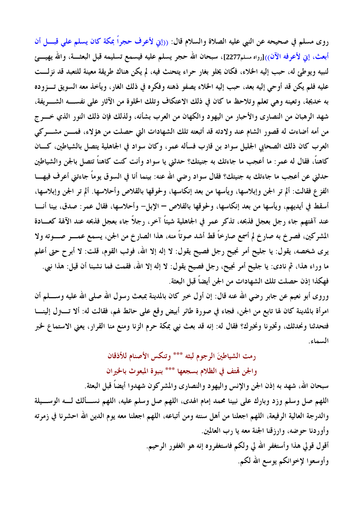روى مسلم في صحيحه عن النبي عليه الصلاة والسلام قال: ((إين لأعرف حجراً بمكة كان يسلم على قبـــل أن أبعث، إني لأعرفه الآن<sub>))[رواه مسلم2277]، سبحان الله حجر يسلم عليه فيسمع تسليمه قبل البعثــــة، والله يهيــــئ</sub> لنبيه ويوطئ له، حبب إليه الخلاء، فكان يخلو بغار حراء يتحنث فيه، لم يكن هناك طريقة معينة للتعبد قد نزلـــت عليه فلم يكن قد أوحى إليه بعد، حبب إليه الخلاء يصفو ذهنه وفكره في ذلك الغار، ويأخذ معه السويق تـــزوده به خديجة، وتعينه وهي تعلم وتلاحظ ما كان في ذلك الاعتكاف وتلك الخلوة من الآثار على نفســــه الشــــريفة، شهد الرهبان من النصارى والأحبار من اليهود والكهان من العرب بشأنه، ولذلك فإن ذلك النور الذي خـــرج من أمه أضاءت له قصور الشام عند ولادته قد أتبعته تلك الشهادات التي حصلت من هؤلاء، فمسن مشـــركي العرب كان ذلك الصحابي الجليل سواد بن قارب فسأله عمرٍ، وكان سواد في الجاهلية يتصل بالشياطين، كـــان كاهناً، فقال له عمر: ما أعجب ما جاءتك به جنيتك؟ حدثني يا سواد وأنت كنت كاهناً تتصل بالجن والشياطين حدثني عن أعجب ما جاءتك به جنيتك؟ فقال سواد رضي الله عنه: بينما أنا في السوق يوماً جاءتني أعرف فيهـــا الفزع فقالت: ألم تر الجن وإبلاسها، ويأسها من بعد إنكاسها، ولحوقها بالقلاص وأحلاسها. ألم تر الجن وإبلاسها، أسقط في أيديهم، ويأسها من بعد إنكاسها، ولحوقها بالقلاص – الإبل– وأحلاسها، فقال عمر: صدق، بينا أنـــا عند آلهتهم جاء رجل بعجل فذبحه، تذكر عمر في الجاهلية شيئاً آخر، رجلاً جاء بعجل فذبحه عند الآلهة كعـــادة المشركين، فصرخ به صارخ لم أسمع صارخاً قط أشد صوتاً منه، هذا الصارخ من الجن، يسمع عمـــر صـــوته ولا يري شخصه، يقول: يا جليح أمر نجيح رجل فصيح يقول: لا إله إلا الله، فوثب القوم، قلت: لا أبر ح حتى أعلم ما وراء هذا، ثم نادى: يا جليح أمر نجيح، رجل فصيح يقول: لا إله إلا الله، فقمت فما نشبنا أن قيل: هذا نبي. فهكذا إذن حصلت تلك الشهادات من الجن أيضاً قبل البعثة.

وروى أبو نعيم عن جابر رضي الله عنه قال: إن أول خبر كان بالمدينة بمبعث رسول الله صلى الله عليه وســــلم أن امرأة بالمدينة كان لها تابع من الجن، فجاء في صورة طائر أبيض وقع على حائط لهم، فقالت له: ألا تــــتزل إلينــــا فتحدثنا ونحدثك، وتخبرنا ونخبرك؟ فقال له: إنه قد بعث نبي بمكة حرم الزنا ومنع منا القرار، يعني الاستماع لخبر السماء.

## رمت الشياطينَ الرجوم لبثه \*\*\* وتنكس الأصنام للأذقان

والجن قمتف في الظلام بسجعها \*\*\* بنبوة المبعوث بالخيران

سبحان الله، شهد به إذن الجن والإنس واليهود والنصارى والمشركون شهدوا أيضاً قبل البعثة. اللهم صل وسلم وزد وبارك على نبينا محمد إمام الهدى، اللهم صل وسلم عليه، اللهم نســألك لـــه الوســـيلة والدرجة العالية الرفيعة، اللهم اجعلنا من أهل سنته ومن أتباعه، اللهم اجعلنا معه يوم الدين الله احشرنا في زمرته وأوردنا حوضه، وارزقنا الجنة معه يا رب العالمين. أقول قولي هذا وأستغفر الله لي ولكم فاستغفروه إنه هو الغفور الرحيم. وأوسعوا لإخوانكم يوسع الله لكم.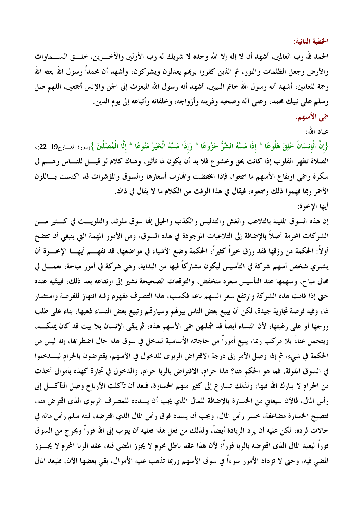الخطبة الثانية:

الحمد لله رب العالمين، أشهد أن لا إله إلا الله وحده لا شريك له رب الأولين والآخــــرين، خلــــق الســــماوات والأرض وجعل الظلمات والنور، ثم الذين كفروا بربمم يعدلون ويشركون، وأشهد أن محمداً رسول الله بعثه الله رحمة للعالمين، أشهد أنه رسول الله خاتم النبيين، أشهد أنه رسول الله المبعوث إلى الجن والإنس أجمعين، اللهم صل وسلم على نبيك محمد، وعلى آله وصحبه وذريته وأزواجه، وخلفائه وأتباعه إلى يوم الدين.

### حي الأسهم.

عباد الله:

{إِنَّ الْإِنسَانَ خُلِقَ هَلُوعًا \* إِذَا مَسَّهُ الشَّرُّ جَزُوعًا \* وَإِذَا مَسَّهُ الْخَيْرُ مَنُوعًا \* إلَّا الْمُصَلِّينَ }رسورة المسارج19–22)، الصلاة تطهر القلوب إذا كانت بحق وخشوع فلا بد أن يكون لها تأثير، وهناك كلام لو قيــــل للنـــــاس وهـــــم في سكرة وحمى ارتفاع الأسهم ما سمعوا، فإذا انخفضت والهارت أسعارها والسوق والمؤشرات قد اكتست بساللون الأحمر ربما فهموا ذلك وسمعوه، فيقال في هذا الوقت من الكلام ما لا يقال في ذاك. أيها الإخوة:

إن هذه السوق المليئة بالتلاعب والغش والتدليس والكذب والحيل إنما سوق ملوثة، والتلويـــث في كـــثير مـــن الشركات المحرمة أصلاً بالإضافة إلى التلاعبات الموجودة في هذه السوق، ومن الأمور المهمة التي ينبغي أن تتضح أولاً: الحكمة من رزقها فقد رزق خيراً كثيراً، الحكمة وضع الأشياء في مواضعها، قد نفهـــم أيهــــا الإخــــوة أن يشتري شخص أسهم شركة في التأسيس ليكون مشاركاً فيها من البداية، وهي شركة في أمور مباحة، تعمــــل في مجال مباح، وسهمها عند التأسيس سعره منخفض، والتوقعات الصحيحة تشير إلى ارتفاعه بعد ذلك، فيبقيه عنده حتى إذا قامت هذه الشركة وارتفع سعر السهم باعه فكسب، هذا التصرف مفهوم وفيه انتهاز للفرصة واستثمار لها، وفيه فرصة تجارية جيدة، لكن أن يبيع بعض الناس بيوقمم وسيارتمم وتبيع بعض النساء ذهبها، بناء على طلب زوجها أو على رغبتها؛ لأن النساء أيضاً قد شملتهن حمى الأسهم هذه، ثم يبقى الإنسان بلا بيت قد كان يملكـــه، ويتحمل عناءً بلا مركب ربما، يبيع أموراً من حاجاته الأساسية ليدخل في سوق هذا حال اضطراهما، إنه ليس من الحكمة في شيء، ثم إذا وصل الأمر إلى درجة الاقتراض الربوي للدخول في الأسهم، يقترضون بالحرام ليــــدخلوا في السوق الملوثة، فما هو الحكم هنا؟ هذا حرام، الاقتراض بالربا حرام، والدخول في تجارة كهذه بأموال أخذت من الحرام لا يبارك الله فيها، ولذلك تسارع إلى كثير منهم الخسارة، فبعد أن تآكلت الأرباح وصل التآكـــل إلى رأس المال، فالآن سيعاني من الخسارة بالإضافة للمال الذي يجب أن يسدده للمصرف الربوي الذي اقترض منه، فتصبح الخسارة مضاعفة، خسر رأس المال، ويجب أن يسدد فوق رأس المال الذي اقترضه، ليته سلم رأس ماله في حالات لرده، لكن عليه أن يرد الزيادة أيضاً، ولذلك من فعل هذا فعليه أن يتوب إلى الله فوراً ويخرج من السوق فوراً ليعيد المال الذي اقترضه بالربا فوراً؛ لأن هذا عقد باطل محرم لا يجوز المضى فيه، عقد الربا المحرم لا يجـــوز المضي فيه، وحتى لا تزداد الأمور سوءاً في سوق الأسهم وربما تذهب عليه الأموال، بقي بعضها الآن، فليعد المال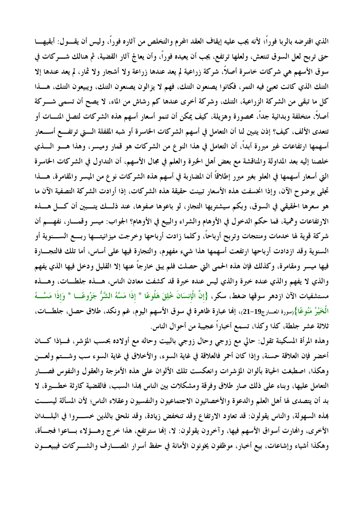الذي اقترضه بالربا فوراً؛ لأنه يجب عليه إيقاف العقد المحرم والتخلص من آثاره فوراً، وليس أن يقـــول: أبقيهــــا حتى تربح لعل السوق تنتعش، ولعلها ترتفع، يجب أن يعيده فوراً، وأن يعالج آثار القضية، ثم هنالك شــــركات في سوق الأسهم هي شركات خاسرة أصلاً، شركة زراعية لم يعد عندها زراعة ولا أشجار ولا ثمار، لم يعد عندها إلا التنك الذي كانت تعبئ فيه التمر، فكانوا يصنعون التنك، فهم لا يزالون يصنعون التنك، ويبيعون التنك، هـــذا كل ما تبقى من الشركة الزراعية، التنك، وشركة أخرى عندها كم رشاش من الماء، لا يصح أن تسمى شـــركة أصلاً، متخلفة وبدائية جداً، محصورة وهزيلة، كيف يمكن أن تنمو أسعار أسهم هذه الشركات لتصل المُــــات أو تتعدى الألف، كيف؟ إذن يتبين لنا أن التعامل في أسهم الشركات الخاسرة أو شبه المقفلة الـــتى ترتفـــع أســـعار أسهمها ارتفاعات غير مبررة أبداً، أن التعامل في هذا النو ع من الشركات هو قمار وميسر، وهذا هــــو الــــذي خلصنا إليه بعد المداولة والمناقشة مع بعض أهل الخبرة والعلم في مجال الأسهم، أن التداول في الشركات الخاسرة التي أسعار أسهمها في العلو بغير مبرر إطلاقاً أن المضاربة في أسهم هذه الشركات نوع من الميسر والمقامرة، هـــذا تجلى بوضوح الآن، وإذا انخسفت هذه الأسعار تبينت حقيقة هذه الشركات، إذا أرادت الشركة التصفية الآن ما هو سعرها الحقيقي في السوق، وبكم سيشتريها التجار، لو باعوها صفوها، عند ذلـــك يتــــبين أن كــــل هــــذه الارتفاعات وهمية، فما حكم الدخول في الأوهام والشراء والبيع في الأوهام؟ الجواب: ميسر وقمـــار، نفهـــم أن شركة قوية لها خدمات ومنتجات وتربح أرباحاً، وكلما زادت أرباحها وخرجت ميزانيتـــها ربــــع الســـنوية أو السنوية وقد ازدادت أرباحها ارتفعت أسهمها هذا شيء مفهوم، والتجارة فيها على أساس، أما تلك فالتجـــارة فيها ميسر ومقامرة، وكذلك فإن هذه الحمى التي حصلت فلم يبق خارجاً عنها إلا القليل ودخل فيها الذي يفهم والذي لا يفهم والذي عنده خبرة والذي ليس عنده خبرة قد كشفت معادن الناس، هـــذه جلطـــات، وهـــذه مستشفيات الآن ازدهر سوقها ضغط، سكر، {إنَّ الْإنسَانَ خُلِقَ هَلُوعًا \* إذَا مَسَّهُ الشَّرُّ جَزُوعًـــا \* وَإذَا مَسَّـــهُ الْخَيْرُ مَنُوعًا}رسورة العـــارج19-21)، إنها عبارة ظاهرة في سوق الأسهم اليوم، غم ونكد، طلاق حصل، جلطــــات، ثلاثة عشر جلطة، كذا وكذا، تسمع أخباراً عجيبة من أحوال الناس.

وهذه المرأة المسكينة تقول: حالي مع زوجي وحال زوجي بالبيت وحاله مع أولاده بحسب المؤشر، فــإذا كـــان أخضر فإن العلاقة حسنة، وإذا كان أحمر فالعلاقة في غاية السوء، والأخلاق في غاية السوء سب وشـــتم ولعـــن وهكذا، اصطبغت الحياة بألوان المؤشرات وانعكست تلك الألوان على هذه الأمزجة والعقول والنفوس فصـــار التعامل عليها، وبناء على ذلك صار طلاق وفرقة ومشكلات بين الناس بمذا السبب، فالقضية كارثة خطـــيرة، لا بد أن يتصدى لها أهل العلم والدعوة والأخصائيون الاجتماعيون والنفسيون وعقلاء الناس؛ لأن المسألة ليســت هذه السهولة، والناس يقولون: قد تعاود الارتفاع وقد تنخفض زيادة، وقد نلحق بالذين خسـروا في البلــدان الأخرى، والهارت أسواق الأسهم فيها، وآخرون يقولون: لا، إلها سترتفع، هذا خرج وهــؤلاء بـــاعوا فجـــأة، وهكذا أشياء وإشاعات، بيع أخبار، موظفون يخونون الأمانة في حفظ أسرار المصـــارف والشــــركات فيبيعـــون